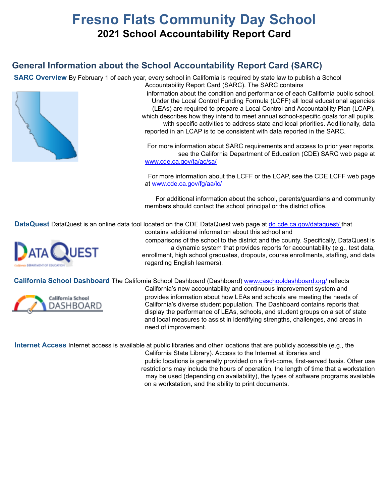# **Fresno Flats Community Day School 2021 School Accountability Report Card**

# **General Information about the School Accountability Report Card (SARC)**

**SARC Overview** By February 1 of each year, every school in California is required by state law to publish a School



Accountability Report Card (SARC). The SARC contains information about the condition and performance of each California public school. Under the Local Control Funding Formula (LCFF) all local educational agencies (LEAs) are required to prepare a Local Control and Accountability Plan (LCAP), which describes how they intend to meet annual school-specific goals for all pupils, with specific activities to address state and local priorities. Additionally, data reported in an LCAP is to be consistent with data reported in the SARC.

For more information about SARC requirements and access to prior year reports, see the California Department of Education (CDE) SARC web page at www.cde.ca.gov/ta/ac/sa/

For more information about the LCFF or the LCAP, see the CDE LCFF web page at www.cde.ca.gov/fg/aa/lc/

For additional information about the school, parents/guardians and community members should contact the school principal or the district office.

**DataQuest** DataQuest is an online data tool located on the CDE DataQuest web page at dq.cde.ca.gov/dataquest/ that



contains additional information about this school and comparisons of the school to the district and the county. Specifically, DataQuest is

a dynamic system that provides reports for accountability (e.g., test data, enrollment, high school graduates, dropouts, course enrollments, staffing, and data regarding English learners).

**California School Dashboard** The California School Dashboard (Dashboard) www.caschooldashboard.org/ reflects



California's new accountability and continuous improvement system and provides information about how LEAs and schools are meeting the needs of California's diverse student population. The Dashboard contains reports that display the performance of LEAs, schools, and student groups on a set of state and local measures to assist in identifying strengths, challenges, and areas in need of improvement.

**Internet Access** Internet access is available at public libraries and other locations that are publicly accessible (e.g., the

California State Library). Access to the Internet at libraries and public locations is generally provided on a first-come, first-served basis. Other use restrictions may include the hours of operation, the length of time that a workstation may be used (depending on availability), the types of software programs available on a workstation, and the ability to print documents.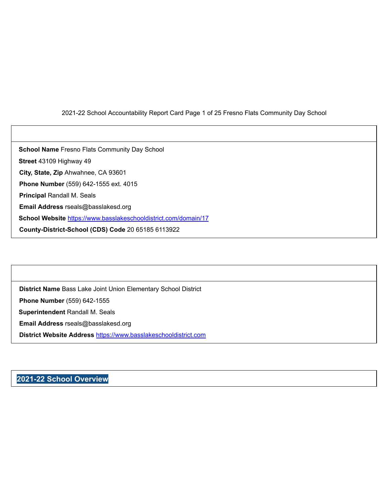#### 2021-22 School Accountability Report Card Page 1 of 25 Fresno Flats Community Day School

**School Name** Fresno Flats Community Day School **Street** 43109 Highway 49 **City, State, Zip** Ahwahnee, CA 93601 **Phone Number** (559) 642-1555 ext. 4015 **Principal** Randall M. Seals **Email Address** rseals@basslakesd.org **School Website** https://www.basslakeschooldistrict.com/domain/17 **County-District-School (CDS) Code** 20 65185 6113922

**District Name** Bass Lake Joint Union Elementary School District **Phone Number** (559) 642-1555 **Superintendent** Randall M. Seals **Email Address** rseals@basslakesd.org **District Website Address** https://www.basslakeschooldistrict.com

## **2021-22 School Overview**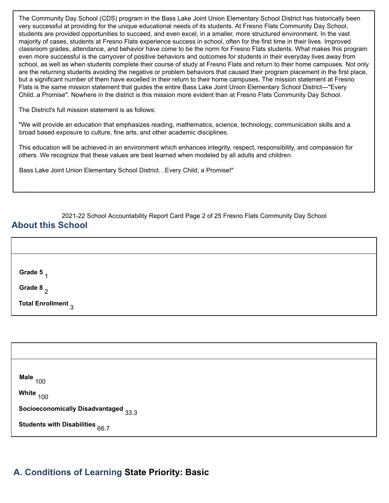The Community Day School (CDS) program in the Bass Lake Joint Union Elementary School District has historically been very successful at providing for the unique educational needs of its students. At Fresno Flats Community Day School, students are provided opportunities to succeed, and even excel, in a smaller, more structured environment. In the vast majority of cases, students at Fresno Flats experience success in school, often for the first time in their lives. Improved classroom grades, attendance, and behavior have come to be the norm for Fresno Flats students. What makes this program even more successful is the carryover of positive behaviors and outcomes for students in their everyday lives away from school, as well as when students complete their course of study at Fresno Flats and return to their home campuses. Not only are the returning students avoiding the negative or problem behaviors that caused their program placement in the first place, but a significant number of them have excelled in their return to their home campuses. The mission statement at Fresno Flats is the same mission statement that guides the entire Bass Lake Joint Union Elementary School District---"Every Child..a Promise". Nowhere in the district is this mission more evident than at Fresno Flats Community Day School.

The District's full mission statement is as follows:

"We will provide an education that emphasizes reading, mathematics, science, technology, communication skills and a broad based exposure to culture, fine arts, and other academic disciplines.

This education will be achieved in an environment which enhances integrity, respect, responsibility, and compassion for others. We recognize that these values are best learned when modeled by all adults and children.

Bass Lake Joint Union Elementary School District…Every Child, a Promise!"

2021-22 School Accountability Report Card Page 2 of 25 Fresno Flats Community Day School

## **About this School**

| Grade 5<br>$\boldsymbol{\mathcal{A}}$ |  |  |
|---------------------------------------|--|--|
| Grade 8 $_2$                          |  |  |
| Total Enrollment <sub>3</sub>         |  |  |

| Male $_{100}$                        |  |
|--------------------------------------|--|
| White <sub>100</sub>                 |  |
| Socioeconomically Disadvantaged 33.3 |  |
| Students with Disabilities $66.7$    |  |

# **A. Conditions of Learning State Priority: Basic**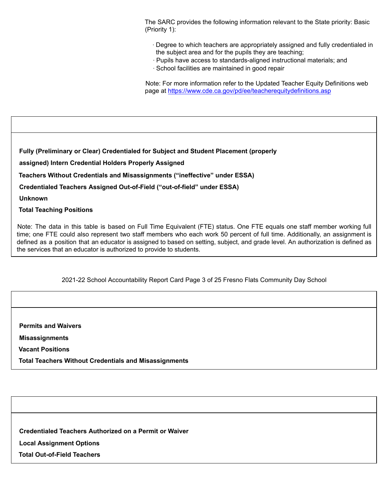The SARC provides the following information relevant to the State priority: Basic (Priority 1):

- ∙ Degree to which teachers are appropriately assigned and fully credentialed in the subject area and for the pupils they are teaching;
- ∙ Pupils have access to standards-aligned instructional materials; and
- ∙ School facilities are maintained in good repair

Note: For more information refer to the Updated Teacher Equity Definitions web page at https://www.cde.ca.gov/pd/ee/teacherequitydefinitions.asp

**Fully (Preliminary or Clear) Credentialed for Subject and Student Placement (properly**

**assigned) Intern Credential Holders Properly Assigned**

2019-20 Teacher Preparation and Placement

**Teachers Without Credentials and Misassignments ("ineffective" under ESSA)**

**Credentialed Teachers Assigned Out-of-Field ("out-of-field" under ESSA)**

**Unknown**

**Total Teaching Positions**

Note: The data in this table is based on Full Time Equivalent (FTE) status. One FTE equals one staff member working full time; one FTE could also represent two staff members who each work 50 percent of full time. Additionally, an assignment is defined as a position that an educator is assigned to based on setting, subject, and grade level. An authorization is defined as the services that an educator is authorized to provide to students.

2021-22 School Accountability Report Card Page 3 of 25 Fresno Flats Community Day School

**Permits and Waivers**

**Misassignments**

**Vacant Positions**

**Total Teachers Without Credentials and Misassignments**

**Credentialed Teachers Authorized on a Permit or Waiver**

**Local Assignment Options**

**Total Out-of-Field Teachers**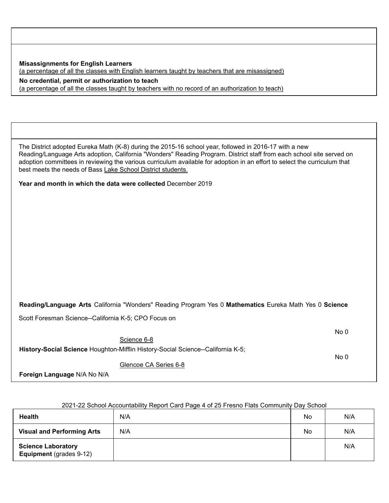**Misassignments for English Learners** (a percentage of all the classes with English learners taught by teachers that are misassigned) **No credential, permit or authorization to teach**

(a percentage of all the classes taught by teachers with no record of an authorization to teach)

The District adopted Eureka Math (K-8) during the 2015-16 school year, followed in 2016-17 with a new Reading/Language Arts adoption, California "Wonders" Reading Program. District staff from each school site served on adoption committees in reviewing the various curriculum available for adoption in an effort to select the curriculum that best meets the needs of Bass Lake School District students.

**Year and month in which the data were collected** December 2019

**Reading/Language Arts** California "Wonders" Reading Program Yes 0 **Mathematics** Eureka Math Yes 0 **Science**

Scott Foresman Science--California K-5; CPO Focus on

No 0

No 0

**History-Social Science** Houghton-Mifflin History-Social Science--California K-5;

Science 6-8

Glencoe CA Series 6-8

**Foreign Language** N/A No N/A

| <b>Health</b>                                        | <u>ZUZ I-ZZ OCHOOLACCOUHIQUIIII) INEPOLE CALU F AUE 4 ULZU I IESHU F IAIS COHIHIUHIII) DAV OCHOOL</u><br>N/A | No | N/A |
|------------------------------------------------------|--------------------------------------------------------------------------------------------------------------|----|-----|
| <b>Visual and Performing Arts</b>                    | N/A                                                                                                          | No | N/A |
| <b>Science Laboratory</b><br>Equipment (grades 9-12) |                                                                                                              |    | N/A |

#### 2021-22 School Accountability Report Card Page 4 of 25 Fresno Flats Community Day School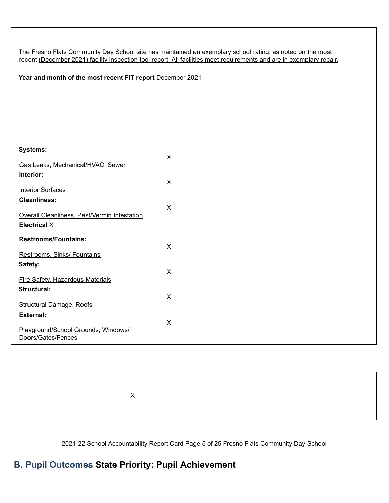| The Fresno Flats Community Day School site has maintained an exemplary school rating, as noted on the most<br>recent (December 2021) facility inspection tool report. All facilities meet requirements and are in exemplary repair. |  |  |  |  |  |
|-------------------------------------------------------------------------------------------------------------------------------------------------------------------------------------------------------------------------------------|--|--|--|--|--|
| Year and month of the most recent FIT report December 2021                                                                                                                                                                          |  |  |  |  |  |
|                                                                                                                                                                                                                                     |  |  |  |  |  |
|                                                                                                                                                                                                                                     |  |  |  |  |  |
|                                                                                                                                                                                                                                     |  |  |  |  |  |
|                                                                                                                                                                                                                                     |  |  |  |  |  |
|                                                                                                                                                                                                                                     |  |  |  |  |  |
| <b>Systems:</b><br>X                                                                                                                                                                                                                |  |  |  |  |  |
| Gas Leaks, Mechanical/HVAC, Sewer                                                                                                                                                                                                   |  |  |  |  |  |
| Interior:                                                                                                                                                                                                                           |  |  |  |  |  |
| X<br><b>Interior Surfaces</b>                                                                                                                                                                                                       |  |  |  |  |  |
| <b>Cleanliness:</b>                                                                                                                                                                                                                 |  |  |  |  |  |
| $\pmb{\times}$<br>Overall Cleanliness, Pest/Vermin Infestation                                                                                                                                                                      |  |  |  |  |  |
| <b>Electrical X</b>                                                                                                                                                                                                                 |  |  |  |  |  |
| <b>Restrooms/Fountains:</b>                                                                                                                                                                                                         |  |  |  |  |  |
| $\pmb{\times}$                                                                                                                                                                                                                      |  |  |  |  |  |
| Restrooms, Sinks/ Fountains<br>Safety:                                                                                                                                                                                              |  |  |  |  |  |
| X                                                                                                                                                                                                                                   |  |  |  |  |  |
| <b>Fire Safety, Hazardous Materials</b><br>Structural:                                                                                                                                                                              |  |  |  |  |  |
| X                                                                                                                                                                                                                                   |  |  |  |  |  |
| <b>Structural Damage, Roofs</b><br><b>External:</b>                                                                                                                                                                                 |  |  |  |  |  |
| X                                                                                                                                                                                                                                   |  |  |  |  |  |
| Playground/School Grounds, Windows/<br>Doors/Gates/Fences                                                                                                                                                                           |  |  |  |  |  |
|                                                                                                                                                                                                                                     |  |  |  |  |  |
|                                                                                                                                                                                                                                     |  |  |  |  |  |
|                                                                                                                                                                                                                                     |  |  |  |  |  |

**Exemplary Good Fair Poor** X

2021-22 School Accountability Report Card Page 5 of 25 Fresno Flats Community Day School

# **B. Pupil Outcomes State Priority: Pupil Achievement**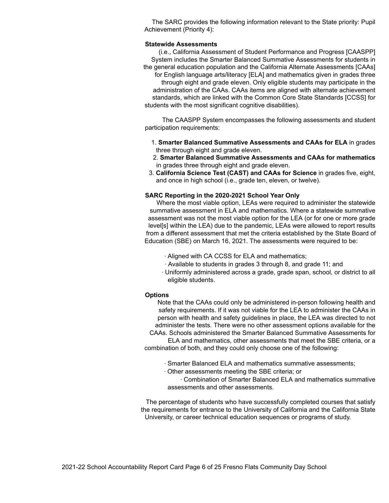The SARC provides the following information relevant to the State priority: Pupil Achievement (Priority 4):

#### **Statewide Assessments**

(i.e., California Assessment of Student Performance and Progress [CAASPP] System includes the Smarter Balanced Summative Assessments for students in the general education population and the California Alternate Assessments [CAAs] for English language arts/literacy [ELA] and mathematics given in grades three through eight and grade eleven. Only eligible students may participate in the administration of the CAAs. CAAs items are aligned with alternate achievement standards, which are linked with the Common Core State Standards [CCSS] for students with the most significant cognitive disabilities).

The CAASPP System encompasses the following assessments and student participation requirements:

- 1. **Smarter Balanced Summative Assessments and CAAs for ELA** in grades three through eight and grade eleven.
- 2. **Smarter Balanced Summative Assessments and CAAs for mathematics** in grades three through eight and grade eleven.
- 3. **California Science Test (CAST) and CAAs for Science** in grades five, eight, and once in high school (i.e., grade ten, eleven, or twelve).

#### **SARC Reporting in the 2020-2021 School Year Only**

Where the most viable option, LEAs were required to administer the statewide summative assessment in ELA and mathematics. Where a statewide summative assessment was not the most viable option for the LEA (or for one or more grade level[s] within the LEA) due to the pandemic, LEAs were allowed to report results from a different assessment that met the criteria established by the State Board of Education (SBE) on March 16, 2021. The assessments were required to be:

- ∙ Aligned with CA CCSS for ELA and mathematics;
- ∙ Available to students in grades 3 through 8, and grade 11; and
- ∙ Uniformly administered across a grade, grade span, school, or district to all eligible students.

#### **Options**

Note that the CAAs could only be administered in-person following health and safety requirements. If it was not viable for the LEA to administer the CAAs in person with health and safety guidelines in place, the LEA was directed to not administer the tests. There were no other assessment options available for the CAAs. Schools administered the Smarter Balanced Summative Assessments for

ELA and mathematics, other assessments that meet the SBE criteria, or a combination of both, and they could only choose one of the following:

- ∙ Smarter Balanced ELA and mathematics summative assessments;
- ∙ Other assessments meeting the SBE criteria; or

∙ Combination of Smarter Balanced ELA and mathematics summative assessments and other assessments.

The percentage of students who have successfully completed courses that satisfy the requirements for entrance to the University of California and the California State University, or career technical education sequences or programs of study.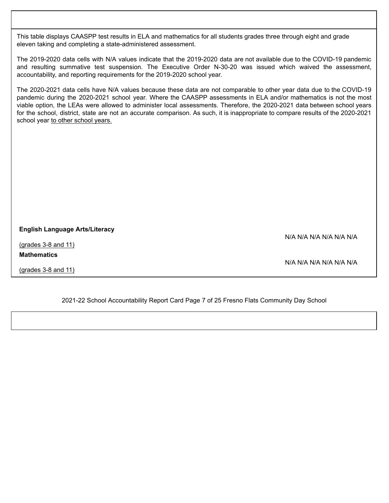This table displays CAASPP test results in ELA and mathematics for all students grades three through eight and grade eleven taking and completing a state-administered assessment.

The 2019-2020 data cells with N/A values indicate that the 2019-2020 data are not available due to the COVID-19 pandemic and resulting summative test suspension. The Executive Order N-30-20 was issued which waived the assessment, accountability, and reporting requirements for the 2019-2020 school year.

The 2020-2021 data cells have N/A values because these data are not comparable to other year data due to the COVID-19 pandemic during the 2020-2021 school year. Where the CAASPP assessments in ELA and/or mathematics is not the most viable option, the LEAs were allowed to administer local assessments. Therefore, the 2020-2021 data between school years for the school, district, state are not an accurate comparison. As such, it is inappropriate to compare results of the 2020-2021 school year to other school years.

#### **English Language Arts/Literacy**

(grades 3-8 and 11) **Mathematics**

(grades 3-8 and 11)

N/A N/A N/A N/A N/A N/A

N/A N/A N/A N/A N/A N/A

2021-22 School Accountability Report Card Page 7 of 25 Fresno Flats Community Day School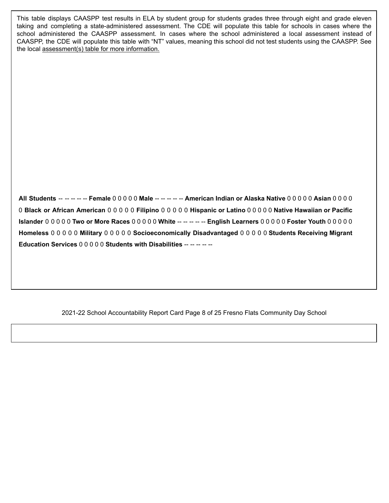This table displays CAASPP test results in ELA by student group for students grades three through eight and grade eleven taking and completing a state-administered assessment. The CDE will populate this table for schools in cases where the school administered the CAASPP assessment. In cases where the school administered a local assessment instead of CAASPP, the CDE will populate this table with "NT" values, meaning this school did not test students using the CAASPP. See the local assessment(s) table for more information.

**All Students** -- -- -- -- -- **Female** 0 0 0 0 0 **Male** -- -- -- -- -- **American Indian or Alaska Native** 0 0 0 0 0 **Asian** 0 0 0 0 0 **Black or African American** 0 0 0 0 0 **Filipino** 0 0 0 0 0 **Hispanic or Latino** 0 0 0 0 0 **Native Hawaiian or Pacific Islander** 0 0 0 0 0 **Two or More Races** 0 0 0 0 0 **White** -- -- -- -- -- **English Learners** 0 0 0 0 0 **Foster Youth** 0 0 0 0 0 **Homeless** 0 0 0 0 0 **Military** 0 0 0 0 0 **Socioeconomically Disadvantaged** 0 0 0 0 0 **Students Receiving Migrant Education Services** 0 0 0 0 0 **Students with Disabilities** -- -- -- -- --

2021-22 School Accountability Report Card Page 8 of 25 Fresno Flats Community Day School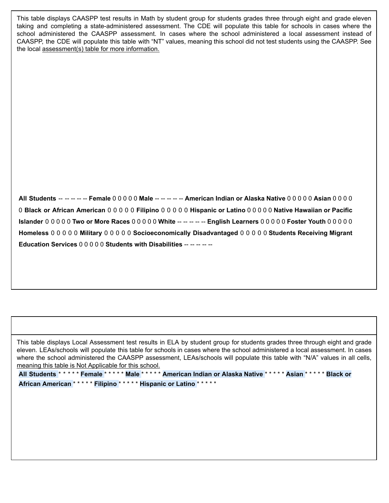This table displays CAASPP test results in Math by student group for students grades three through eight and grade eleven taking and completing a state-administered assessment. The CDE will populate this table for schools in cases where the school administered the CAASPP assessment. In cases where the school administered a local assessment instead of CAASPP, the CDE will populate this table with "NT" values, meaning this school did not test students using the CAASPP. See the local assessment(s) table for more information.

**All Students** -- -- -- -- -- **Female** 0 0 0 0 0 **Male** -- -- -- -- -- **American Indian or Alaska Native** 0 0 0 0 0 **Asian** 0 0 0 0 0 **Black or African American** 0 0 0 0 0 **Filipino** 0 0 0 0 0 **Hispanic or Latino** 0 0 0 0 0 **Native Hawaiian or Pacific Islander** 0 0 0 0 0 **Two or More Races** 0 0 0 0 0 **White** -- -- -- -- -- **English Learners** 0 0 0 0 0 **Foster Youth** 0 0 0 0 0 **Homeless** 0 0 0 0 0 **Military** 0 0 0 0 0 **Socioeconomically Disadvantaged** 0 0 0 0 0 **Students Receiving Migrant Education Services** 0 0 0 0 0 **Students with Disabilities** -- -- -- -- --

This table displays Local Assessment test results in ELA by student group for students grades three through eight and grade eleven. LEAs/schools will populate this table for schools in cases where the school administered a local assessment. In cases where the school administered the CAASPP assessment, LEAs/schools will populate this table with "N/A" values in all cells, meaning this table is Not Applicable for this school.

**All Students** \* \* \* \* \* **Female** \* \* \* \* \* **Male** \* \* \* \* \* **American Indian or Alaska Native** \* \* \* \* \* **Asian** \* \* \* \* \* **Black or African American** \* \* \* \* \* **Filipino** \* \* \* \* \* **Hispanic or Latino** \* \* \* \* \*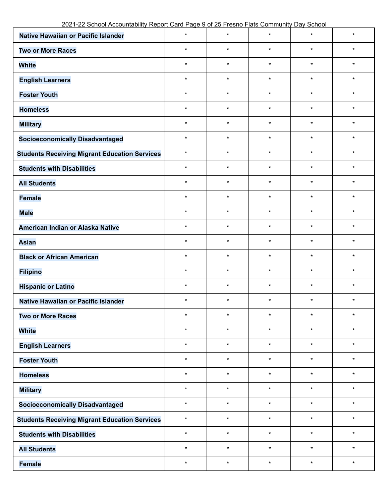| Native Hawaiian or Pacific Islander                  | $\star$  | $\star$ | $\star$ | $\star$ | $\star$  |
|------------------------------------------------------|----------|---------|---------|---------|----------|
| <b>Two or More Races</b>                             | $\star$  | $\star$ | $\star$ | $\star$ | $\star$  |
| <b>White</b>                                         | $\star$  | $\star$ | $\star$ | $\star$ | $\star$  |
| <b>English Learners</b>                              | $\star$  | $\star$ | $\star$ | $\star$ | $\star$  |
| <b>Foster Youth</b>                                  | $\star$  | $\star$ | $\star$ | $\star$ | $\star$  |
| <b>Homeless</b>                                      | $\star$  | $\star$ | $\star$ | $\star$ | $\star$  |
| <b>Military</b>                                      | $\star$  | $\star$ | $\star$ | $\star$ | $\star$  |
| <b>Socioeconomically Disadvantaged</b>               | $\star$  | $\star$ | $\star$ | $\star$ | $\star$  |
| <b>Students Receiving Migrant Education Services</b> | $\star$  | $\star$ | $\star$ | $\star$ | $\star$  |
| <b>Students with Disabilities</b>                    | $\star$  | $\star$ | $\star$ | $\star$ | $\star$  |
| <b>All Students</b>                                  | $\star$  | $\star$ | $\star$ | $\star$ | $\star$  |
| <b>Female</b>                                        | $\star$  | $\star$ | $\star$ | $\star$ | $\star$  |
| <b>Male</b>                                          | $\star$  | $\star$ | $\star$ | $\star$ | $\star$  |
| American Indian or Alaska Native                     | $\star$  | $\star$ | $\star$ | $\star$ | $\star$  |
| <b>Asian</b>                                         | $\star$  | $\star$ | $\star$ | $\star$ | $\star$  |
| <b>Black or African American</b>                     | $\star$  | $\star$ | $\star$ | $\star$ | $\star$  |
| <b>Filipino</b>                                      | $\star$  | $\star$ | $\star$ | $\star$ | $\star$  |
| <b>Hispanic or Latino</b>                            | $\star$  | $\star$ | $\star$ | $\star$ | $\star$  |
| Native Hawaiian or Pacific Islander                  | $\star$  | $\star$ | $\star$ | $\star$ | $\star$  |
| <b>Two or More Races</b>                             | $^\star$ | $\star$ |         | $\star$ | $^\star$ |
| <b>White</b>                                         | $\star$  | $\star$ | $\star$ | $\star$ | $\star$  |
| <b>English Learners</b>                              | $\star$  | $\star$ | $\star$ | $\star$ | $\star$  |
| <b>Foster Youth</b>                                  | $\star$  | $\star$ | $\star$ | $\star$ | $\star$  |
| <b>Homeless</b>                                      | $\star$  | $\star$ | $\star$ | $\star$ | $\star$  |
| <b>Military</b>                                      | $\star$  | $\star$ | $\star$ | $\star$ | $\star$  |
| <b>Socioeconomically Disadvantaged</b>               | $\star$  | $\star$ | $\star$ | $\star$ | $\star$  |
| <b>Students Receiving Migrant Education Services</b> | $\star$  | $\star$ | $\star$ | $\star$ | $\star$  |
| <b>Students with Disabilities</b>                    | $\star$  | $\star$ | $\star$ | $\star$ | $\star$  |
| <b>All Students</b>                                  | $\star$  | $\star$ | $\star$ | $\star$ | $\star$  |
| <b>Female</b>                                        | $\star$  | $\star$ | $\star$ | $\star$ | $\star$  |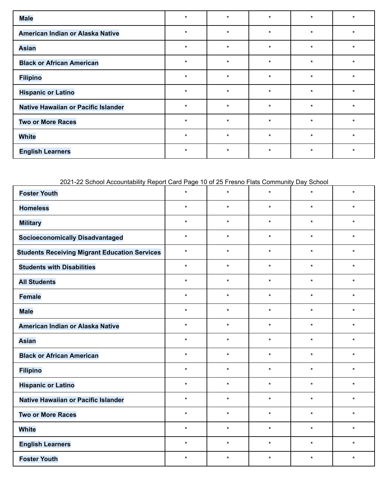| <b>Male</b>                         | $\star$ | $\star$ | $\star$ | $\star$ | $\star$ |
|-------------------------------------|---------|---------|---------|---------|---------|
| American Indian or Alaska Native    | $\star$ | $\star$ | $\star$ | $\star$ | $\star$ |
| <b>Asian</b>                        | $\star$ | $\star$ | $\star$ | $\star$ | $\star$ |
| <b>Black or African American</b>    | $\star$ | $\star$ | $\star$ | $\star$ | $\star$ |
| <b>Filipino</b>                     | $\star$ | $\star$ | $\star$ | $\star$ | $\star$ |
| <b>Hispanic or Latino</b>           | $\star$ | $\star$ | $\star$ | $\star$ | $\star$ |
| Native Hawaiian or Pacific Islander | $\star$ | $\star$ | $\star$ | $\star$ | $\star$ |
| <b>Two or More Races</b>            | $\star$ | $\star$ | $\star$ | $\star$ | $\star$ |
| <b>White</b>                        | $\star$ | $\star$ | $\star$ | $\star$ | $\star$ |
| <b>English Learners</b>             | $\ast$  | $\star$ | $\star$ | $\ast$  | $\ast$  |

2021-22 School Accountability Report Card Page 10 of 25 Fresno Flats Community Day School

| <b>Foster Youth</b>                                  | $\star$ | $\star$ | $\star$ | $\star$ | $\star$ |
|------------------------------------------------------|---------|---------|---------|---------|---------|
| <b>Homeless</b>                                      | $\star$ | $\star$ | $\star$ | $\star$ | $\star$ |
| <b>Military</b>                                      | $\star$ | $\star$ | $\star$ | $\star$ | $\star$ |
| <b>Socioeconomically Disadvantaged</b>               | $\star$ | $\star$ | $\star$ | $\star$ | $\star$ |
| <b>Students Receiving Migrant Education Services</b> | $\star$ | $\star$ | $\star$ | $\star$ | $\star$ |
| <b>Students with Disabilities</b>                    | $\star$ | $\star$ | $\star$ | $\star$ | $\star$ |
| <b>All Students</b>                                  | $\star$ | $\star$ | $\star$ | $\star$ | $\star$ |
| <b>Female</b>                                        | $\star$ | $\star$ | $\star$ | $\star$ | $\star$ |
| <b>Male</b>                                          | $\star$ | $\star$ | $\star$ | $\star$ | $\star$ |
| American Indian or Alaska Native                     | $\star$ | $\star$ | $\star$ | $\star$ | $\star$ |
| <b>Asian</b>                                         | $\star$ | $\star$ | $\star$ | $\star$ | $\star$ |
| <b>Black or African American</b>                     | $\star$ | $\star$ | $\star$ | $\star$ | $\star$ |
| <b>Filipino</b>                                      | $\star$ | $\star$ | $\star$ | $\star$ | $\star$ |
| <b>Hispanic or Latino</b>                            | $\star$ | $\star$ | $\star$ | $\star$ | $\star$ |
| Native Hawaiian or Pacific Islander                  | $\star$ | $\star$ | $\star$ | $\star$ | $\star$ |
| <b>Two or More Races</b>                             | $\star$ | $\star$ | $\star$ | $\star$ | $\star$ |
| <b>White</b>                                         | $\star$ | $\star$ | $\star$ | $\star$ | $\star$ |
| <b>English Learners</b>                              | $\star$ | $\star$ | $\star$ | $\star$ | $\star$ |
| <b>Foster Youth</b>                                  | $\star$ | $\star$ | $\star$ | $\star$ | $\star$ |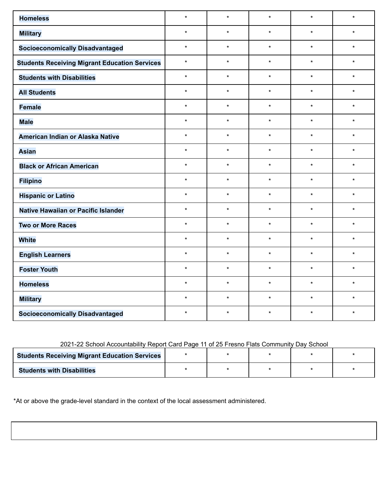| <b>Homeless</b>                                      | $\star$ | $\star$ | $\star$ | $\star$ | $\star$ |
|------------------------------------------------------|---------|---------|---------|---------|---------|
| <b>Military</b>                                      | $\star$ | $\star$ | $\star$ | $\star$ | $\star$ |
| <b>Socioeconomically Disadvantaged</b>               | $\star$ | $\star$ | $\star$ | $\star$ | $\star$ |
| <b>Students Receiving Migrant Education Services</b> | $\star$ | $\star$ | $\star$ | $\star$ | $\star$ |
| <b>Students with Disabilities</b>                    | $\star$ | $\star$ | $\star$ | $\star$ | $\star$ |
| <b>All Students</b>                                  | $\star$ | $\star$ | $\star$ | $\star$ | $\star$ |
| <b>Female</b>                                        | $\star$ | $\star$ | $\star$ | $\star$ | $\star$ |
| <b>Male</b>                                          | $\star$ | $\star$ | $\star$ | $\star$ | $\star$ |
| American Indian or Alaska Native                     | $\star$ | $\star$ | $\star$ | $\star$ | $\star$ |
| <b>Asian</b>                                         | $\star$ | $\star$ | $\star$ | $\star$ | $\star$ |
| <b>Black or African American</b>                     | $\star$ | $\star$ | $\star$ | $\star$ | $\star$ |
| <b>Filipino</b>                                      | $\star$ | $\star$ | $\star$ | $\star$ | $\star$ |
| <b>Hispanic or Latino</b>                            | $\star$ | $\star$ | $\star$ | $\star$ | $\star$ |
| Native Hawaiian or Pacific Islander                  | $\star$ | $\star$ | $\star$ | $\star$ | $\star$ |
| <b>Two or More Races</b>                             | $\star$ | $\star$ | $\star$ | $\star$ | $\star$ |
| <b>White</b>                                         | $\star$ | $\star$ | $\star$ | $\star$ | $\star$ |
| <b>English Learners</b>                              | $\star$ | $\star$ | $\star$ | $\star$ | $\star$ |
| <b>Foster Youth</b>                                  | $\star$ | $\star$ | $\star$ | $\star$ | $\star$ |
| <b>Homeless</b>                                      | $\star$ | $\star$ | $\star$ | $\star$ | $\star$ |
| <b>Military</b>                                      | $\star$ | $\star$ | $\star$ | $\star$ | $\star$ |
| <b>Socioeconomically Disadvantaged</b>               | $\star$ | $\star$ | $\star$ | $\star$ | $\star$ |

### 2021-22 School Accountability Report Card Page 11 of 25 Fresno Flats Community Day School

| <b>Students Receiving Migrant Education Services</b> |  |  |  |
|------------------------------------------------------|--|--|--|
| <b>Students with Disabilities</b>                    |  |  |  |

\*At or above the grade-level standard in the context of the local assessment administered.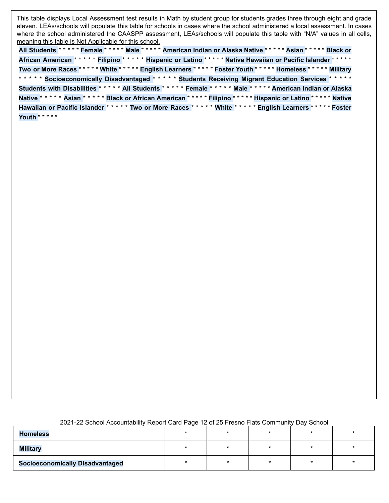This table displays Local Assessment test results in Math by student group for students grades three through eight and grade eleven. LEAs/schools will populate this table for schools in cases where the school administered a local assessment. In cases where the school administered the CAASPP assessment, LEAs/schools will populate this table with "N/A" values in all cells, meaning this table is Not Applicable for this school.

**All Students** \* \* \* \* \* **Female** \* \* \* \* \* **Male** \* \* \* \* \* **American Indian or Alaska Native** \* \* \* \* \* **Asian** \* \* \* \* \* **Black or African American** \* \* \* \* \* **Filipino** \* \* \* \* \* **Hispanic or Latino** \* \* \* \* \* **Native Hawaiian or Pacific Islander** \* \* \* \* \* **Two or More Races** \* \* \* \* \* **White** \* \* \* \* \* **English Learners** \* \* \* \* \* **Foster Youth** \* \* \* \* \* **Homeless** \* \* \* \* \* **Military** \* \* \* \* \* **Socioeconomically Disadvantaged** \* \* \* \* \* **Students Receiving Migrant Education Services** \* \* \* \* \* **Students with Disabilities** \* \* \* \* \* **All Students** \* \* \* \* \* **Female** \* \* \* \* \* **Male** \* \* \* \* \* **American Indian or Alaska Native** \* \* \* \* \* **Asian** \* \* \* \* \* **Black or African American** \* \* \* \* \* **Filipino** \* \* \* \* \* **Hispanic or Latino** \* \* \* \* \* **Native Hawaiian or Pacific Islander** \* \* \* \* \* **Two or More Races** \* \* \* \* \* **White** \* \* \* \* \* **English Learners** \* \* \* \* \* **Foster Youth** \* \* \* \* \*

| 2021-22 School Accountability Report Card Page 12 of 25 Fresno Flats Community Day School |  |  |  |  |
|-------------------------------------------------------------------------------------------|--|--|--|--|
|-------------------------------------------------------------------------------------------|--|--|--|--|

| <b>Homeless</b>                        |  |  |  |
|----------------------------------------|--|--|--|
| <b>Military</b>                        |  |  |  |
| <b>Socioeconomically Disadvantaged</b> |  |  |  |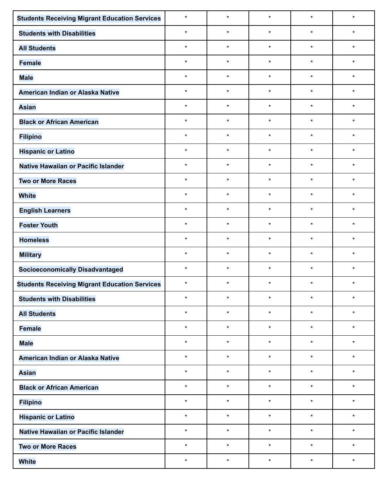| <b>Students Receiving Migrant Education Services</b> | $\star$ | $\star$ | $\star$ | $\star$ | $\star$ |
|------------------------------------------------------|---------|---------|---------|---------|---------|
| <b>Students with Disabilities</b>                    | $\star$ | $\star$ | $\star$ | $\star$ | $\star$ |
| <b>All Students</b>                                  | $\star$ | $\star$ | $\star$ | $\star$ | $\star$ |
| <b>Female</b>                                        | $\star$ | $\star$ | $\star$ | $\star$ | $\star$ |
| <b>Male</b>                                          | $\star$ | $\star$ | $\star$ | $\star$ | $\star$ |
| American Indian or Alaska Native                     | $\star$ | $\star$ | $\star$ | $\star$ | $\star$ |
| <b>Asian</b>                                         | $\star$ | $\star$ | $\star$ | $\star$ | $\star$ |
| <b>Black or African American</b>                     | $\star$ | $\star$ | $\star$ | $\star$ | $\star$ |
| <b>Filipino</b>                                      | $\star$ | $\star$ | $\star$ | $\star$ | $\star$ |
| <b>Hispanic or Latino</b>                            | $\star$ | $\star$ | $\star$ | $\star$ | $\star$ |
| Native Hawaiian or Pacific Islander                  | $\star$ | $\star$ | $\star$ | $\star$ | $\star$ |
| <b>Two or More Races</b>                             | $\star$ | $\star$ | $\star$ | $\star$ | $\star$ |
| <b>White</b>                                         | $\star$ | $\star$ | $\star$ | $\star$ | $\star$ |
| <b>English Learners</b>                              | $\star$ | $\star$ | $\star$ | $\star$ | $\star$ |
| <b>Foster Youth</b>                                  | $\star$ | $\star$ | $\star$ | $\star$ | $\star$ |
| <b>Homeless</b>                                      | $\star$ | $\star$ | $\star$ | $\star$ | $\star$ |
| <b>Military</b>                                      | $\star$ | $\star$ | $\star$ | $\star$ | $\star$ |
| <b>Socioeconomically Disadvantaged</b>               | $\star$ | $\star$ | $\star$ | $\star$ | $\star$ |
| <b>Students Receiving Migrant Education Services</b> | $\star$ | $\star$ | $\star$ | $\star$ | $\star$ |
| <b>Students with Disabilities</b>                    |         |         |         |         |         |
| <b>All Students</b>                                  | $\star$ | $\star$ | $\star$ | $\star$ | $\star$ |
| <b>Female</b>                                        | $\star$ | $\star$ | $\star$ | $\star$ | $\star$ |
| <b>Male</b>                                          | $\star$ | $\star$ | $\star$ | $\star$ | $\star$ |
| American Indian or Alaska Native                     | $\star$ | $\star$ | $\star$ | $\star$ | $\star$ |
| <b>Asian</b>                                         | $\star$ | $\star$ | $\star$ | $\star$ | $\star$ |
| <b>Black or African American</b>                     | $\star$ | $\star$ | $\star$ | $\star$ | $\star$ |
| <b>Filipino</b>                                      | $\star$ | $\star$ | $\star$ | $\star$ | $\star$ |
| <b>Hispanic or Latino</b>                            | $\star$ | $\star$ | $\star$ | $\star$ | $\star$ |
| Native Hawaiian or Pacific Islander                  | $\star$ | $\star$ | $\star$ | $\star$ | $\star$ |
| <b>Two or More Races</b>                             | $\star$ | $\star$ | $\star$ | $\star$ | $\star$ |
| <b>White</b>                                         | $\star$ | $\star$ | $\star$ | $\star$ | $\star$ |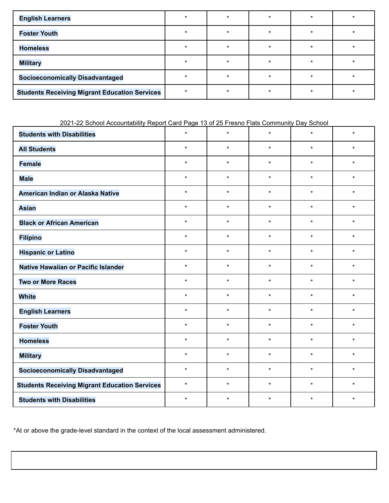| <b>English Learners</b>                              |   |         |   |  |
|------------------------------------------------------|---|---------|---|--|
| <b>Foster Youth</b>                                  |   |         |   |  |
| <b>Homeless</b>                                      | ÷ | $\star$ | ÷ |  |
| <b>Military</b>                                      |   |         |   |  |
| <b>Socioeconomically Disadvantaged</b>               |   |         |   |  |
| <b>Students Receiving Migrant Education Services</b> |   |         |   |  |

### 2021-22 School Accountability Report Card Page 13 of 25 Fresno Flats Community Day School

| <b>Students with Disabilities</b>                    | $\star$ | $\star$ | $\star$ | $\star$ | $\star$ |
|------------------------------------------------------|---------|---------|---------|---------|---------|
| <b>All Students</b>                                  | $\star$ | $\star$ | $\star$ | $\star$ | $\star$ |
| <b>Female</b>                                        | $\star$ | $\star$ | $\star$ | $\star$ | $\star$ |
| <b>Male</b>                                          | $\star$ | $\star$ | $\star$ | $\star$ | $\star$ |
| American Indian or Alaska Native                     | $\star$ | $\star$ | $\star$ | $\star$ | $\star$ |
| <b>Asian</b>                                         | $\star$ | $\star$ | $\star$ | $\star$ | $\star$ |
| <b>Black or African American</b>                     | $\star$ | $\star$ | $\star$ | $\star$ | $\star$ |
| <b>Filipino</b>                                      | $\star$ | $\star$ | $\star$ | $\star$ | $\star$ |
| <b>Hispanic or Latino</b>                            | $\star$ | $\star$ | $\star$ | $\star$ | $\star$ |
| Native Hawaiian or Pacific Islander                  | $\star$ | $\star$ | $\star$ | $\star$ | $\star$ |
| <b>Two or More Races</b>                             | $\star$ | $\star$ | $\star$ | $\star$ | $\star$ |
| <b>White</b>                                         | $\star$ | $\star$ | $\star$ | $\star$ | $\star$ |
| <b>English Learners</b>                              | $\star$ | $\star$ | $\star$ | $\star$ | $\star$ |
| <b>Foster Youth</b>                                  | $\star$ | $\star$ | $\star$ | $\star$ | $\star$ |
| <b>Homeless</b>                                      | $\star$ | $\star$ | $\star$ | $\star$ | $\star$ |
| <b>Military</b>                                      | $\star$ | $\star$ | $\star$ | $\star$ | $\star$ |
| <b>Socioeconomically Disadvantaged</b>               | $\star$ | $\star$ | $\star$ | $\star$ | $\star$ |
| <b>Students Receiving Migrant Education Services</b> | $\star$ | $\star$ | $\star$ | $\star$ | $\star$ |
| <b>Students with Disabilities</b>                    | $\star$ | $\star$ | $\star$ | $\star$ | $\star$ |

\*At or above the grade-level standard in the context of the local assessment administered.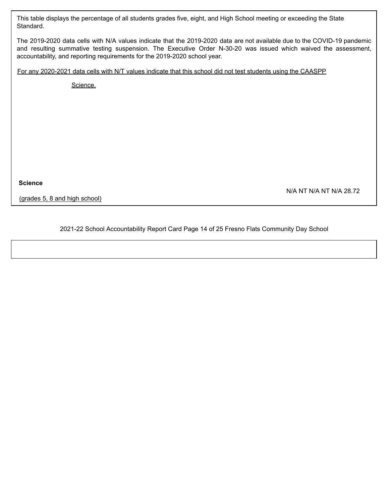This table displays the percentage of all students grades five, eight, and High School meeting or exceeding the State Standard.

The 2019-2020 data cells with N/A values indicate that the 2019-2020 data are not available due to the COVID-19 pandemic and resulting summative testing suspension. The Executive Order N-30-20 was issued which waived the assessment, accountability, and reporting requirements for the 2019-2020 school year.

For any 2020-2021 data cells with N/T values indicate that this school did not test students using the CAASPP

Science.

**Science**

(grades 5, 8 and high school)

N/A NT N/A NT N/A 28.72

2021-22 School Accountability Report Card Page 14 of 25 Fresno Flats Community Day School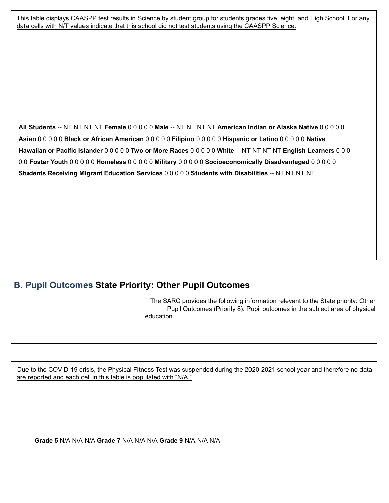This table displays CAASPP test results in Science by student group for students grades five, eight, and High School. For any data cells with N/T values indicate that this school did not test students using the CAASPP Science.

**All Students** -- NT NT NT NT **Female** 0 0 0 0 0 **Male** -- NT NT NT NT **American Indian or Alaska Native** 0 0 0 0 0 **Asian** 0 0 0 0 0 **Black or African American** 0 0 0 0 0 **Filipino** 0 0 0 0 0 **Hispanic or Latino** 0 0 0 0 0 **Native Hawaiian or Pacific Islander** 0 0 0 0 0 **Two or More Races** 0 0 0 0 0 **White** -- NT NT NT NT **English Learners** 0 0 0 0 0 **Foster Youth** 0 0 0 0 0 **Homeless** 0 0 0 0 0 **Military** 0 0 0 0 0 **Socioeconomically Disadvantaged** 0 0 0 0 0 **Students Receiving Migrant Education Services** 0 0 0 0 0 **Students with Disabilities** -- NT NT NT NT

## **B. Pupil Outcomes State Priority: Other Pupil Outcomes**

The SARC provides the following information relevant to the State priority: Other Pupil Outcomes (Priority 8): Pupil outcomes in the subject area of physical education.

Due to the COVID-19 crisis, the Physical Fitness Test was suspended during the 2020-2021 school year and therefore no data are reported and each cell in this table is populated with "N/A."

**Grade 5** N/A N/A N/A **Grade 7** N/A N/A N/A **Grade 9** N/A N/A N/A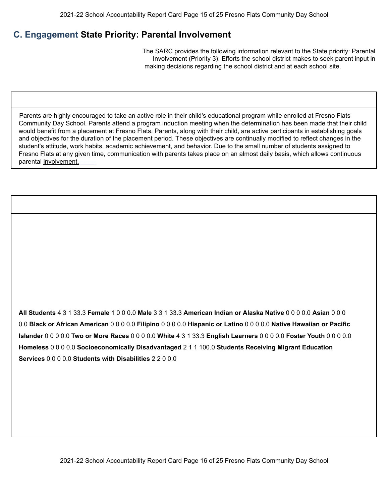# **C. Engagement State Priority: Parental Involvement**

2021-22 Opportunities for Parental Involvement

The SARC provides the following information relevant to the State priority: Parental Involvement (Priority 3): Efforts the school district makes to seek parent input in making decisions regarding the school district and at each school site.

Parents are highly encouraged to take an active role in their child's educational program while enrolled at Fresno Flats Community Day School. Parents attend a program induction meeting when the determination has been made that their child would benefit from a placement at Fresno Flats. Parents, along with their child, are active participants in establishing goals and objectives for the duration of the placement period. These objectives are continually modified to reflect changes in the student's attitude, work habits, academic achievement, and behavior. Due to the small number of students assigned to Fresno Flats at any given time, communication with parents takes place on an almost daily basis, which allows continuous parental involvement.-

**All Students** 4 3 1 33.3 **Female** 1 0 0 0.0 **Male** 3 3 1 33.3 **American Indian or Alaska Native** 0 0 0 0.0 **Asian** 0 0 0 0.0 **Black or African American** 0 0 0 0.0 **Filipino** 0 0 0 0.0 **Hispanic or Latino** 0 0 0 0.0 **Native Hawaiian or Pacific Islander** 0 0 0 0.0 **Two or More Races** 0 0 0 0.0 **White** 4 3 1 33.3 **English Learners** 0 0 0 0.0 **Foster Youth** 0 0 0 0.0 **Homeless** 0 0 0 0.0 **Socioeconomically Disadvantaged** 2 1 1 100.0 **Students Receiving Migrant Education Services** 0 0 0 0.0 **Students with Disabilities** 2 2 0 0.0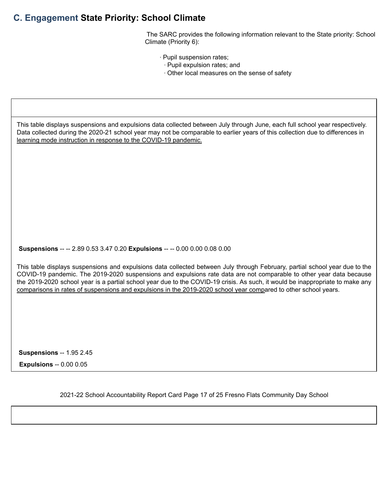## **C. Engagement State Priority: School Climate**

The SARC provides the following information relevant to the State priority: School Climate (Priority 6):

- ∙ Pupil suspension rates;
	- ∙ Pupil expulsion rates; and
	- ∙ Other local measures on the sense of safety

This table displays suspensions and expulsions data collected between July through June, each full school year respectively. Data collected during the 2020-21 school year may not be comparable to earlier years of this collection due to differences in learning mode instruction in response to the COVID-19 pandemic.

**Suspensions** -- -- 2.89 0.53 3.47 0.20 **Expulsions** -- -- 0.00 0.00 0.08 0.00

This table displays suspensions and expulsions data collected between July through February, partial school year due to the COVID-19 pandemic. The 2019-2020 suspensions and expulsions rate data are not comparable to other year data because the 2019-2020 school year is a partial school year due to the COVID-19 crisis. As such, it would be inappropriate to make any comparisons in rates of suspensions and expulsions in the 2019-2020 school year compared to other school years.

**Suspensions** -- 1.95 2.45

Suspensions and Expulsions

**Expulsions** -- 0.00 0.05

2021-22 School Accountability Report Card Page 17 of 25 Fresno Flats Community Day School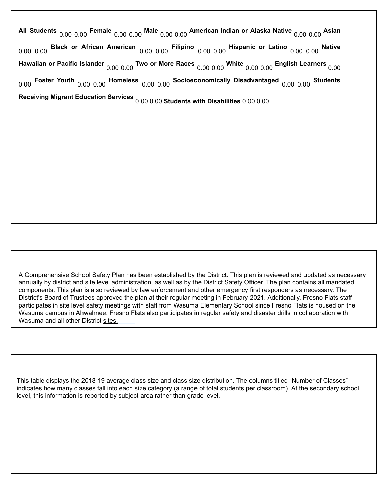**All Students** 0.00 0.00 **Female** 0.00 0.00 **Male** 0.00 0.00 **American Indian or Alaska Native** 0.00 0.00 **Asian** 0.00 0.00 **Black or African American** 0.00 0.00 **Filipino** 0.00 0.00 **Hispanic or Latino** 0.00 0.00 **Native Hawaiian or Pacific Islander** 0.00 0.00 **Two or More Races** 0.00 0.00 **White** 0.00 0.00 **English Learners** 0.00 0.00 **Foster Youth** 0.00 0.00 **Homeless** 0.00 0.00 **Socioeconomically Disadvantaged** 0.00 0.00 **Students Receiving Migrant Education Services** 0.00 0.00 **Students with Disabilities** 0.00 0.00

A Comprehensive School Safety Plan has been established by the District. This plan is reviewed and updated as necessary annually by district and site level administration, as well as by the District Safety Officer. The plan contains all mandated components. This plan is also reviewed by law enforcement and other emergency first responders as necessary. The District's Board of Trustees approved the plan at their regular meeting in February 2021. Additionally, Fresno Flats staff participates in site level safety meetings with staff from Wasuma Elementary School since Fresno Flats is housed on the Wasuma campus in Ahwahnee. Fresno Flats also participates in regular safety and disaster drills in collaboration with Wasuma and all other District sites.-

This table displays the 2018-19 average class size and class size distribution. The columns titled "Number of Classes" indicates how many classes fall into each size category (a range of total students per classroom). At the secondary school level, this information is reported by subject area rather than grade level.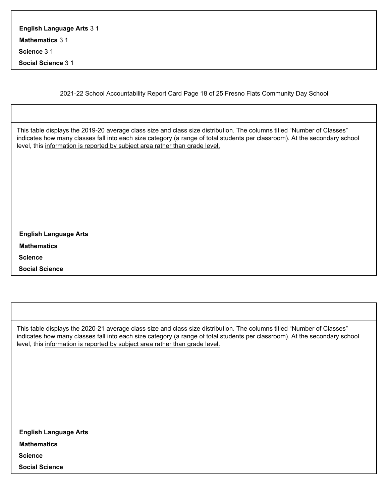| <b>English Language Arts 3 1</b> |  |  |  |
|----------------------------------|--|--|--|
| <b>Mathematics 3 1</b>           |  |  |  |
|                                  |  |  |  |

**Science** 3 1

**Social Science** 3 1

2021-22 School Accountability Report Card Page 18 of 25 Fresno Flats Community Day School

This table displays the 2019-20 average class size and class size distribution. The columns titled "Number of Classes" indicates how many classes fall into each size category (a range of total students per classroom). At the secondary school level, this information is reported by subject area rather than grade level.

| <b>English Language Arts</b> |  |  |  |
|------------------------------|--|--|--|
| Mathematics                  |  |  |  |
| <b>Science</b>               |  |  |  |
| <b>Social Science</b>        |  |  |  |

This table displays the 2020-21 average class size and class size distribution. The columns titled "Number of Classes" indicates how many classes fall into each size category (a range of total students per classroom). At the secondary school level, this information is reported by subject area rather than grade level.

| <b>English Language Arts</b> |  |  |  |
|------------------------------|--|--|--|
| <b>Mathematics</b>           |  |  |  |
| <b>Science</b>               |  |  |  |
| <b>Social Science</b>        |  |  |  |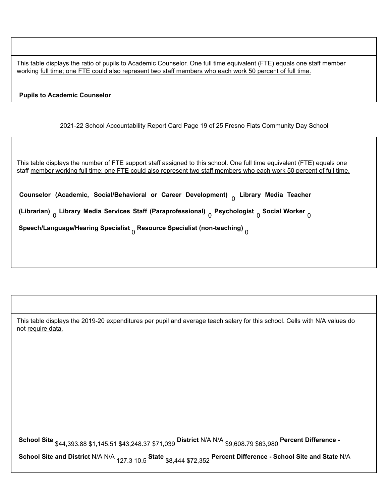This table displays the ratio of pupils to Academic Counselor. One full time equivalent (FTE) equals one staff member working full time; one FTE could also represent two staff members who each work 50 percent of full time.

#### **Pupils to Academic Counselor**

2021-22 School Accountability Report Card Page 19 of 25 Fresno Flats Community Day School

| This table displays the number of FTE support staff assigned to this school. One full time equivalent (FTE) equals one<br>staff member working full time; one FTE could also represent two staff members who each work 50 percent of full time. |
|-------------------------------------------------------------------------------------------------------------------------------------------------------------------------------------------------------------------------------------------------|
| Counselor (Academic, Social/Behavioral or Career Development) <sub>o</sub> Library Media Teacher                                                                                                                                                |
| (Librarian) <sub>n</sub> Library Media Services Staff (Paraprofessional) <sub>n</sub> Psychologist <sub>n</sub> Social Worker <sub>n</sub>                                                                                                      |
| Speech/Language/Hearing Specialist $_0$ Resource Specialist (non-teaching) $_0$                                                                                                                                                                 |
|                                                                                                                                                                                                                                                 |

| This table displays the 2019-20 expenditures per pupil and average teach salary for this school. Cells with N/A values do<br>not require data. |
|------------------------------------------------------------------------------------------------------------------------------------------------|
|                                                                                                                                                |
|                                                                                                                                                |
|                                                                                                                                                |
|                                                                                                                                                |
| School Site \$44,393.88 \$1,145.51 \$43,248.37 \$71,039 District N/A N/A \$9,608.79 \$63,980 Percent Difference -                              |
| School Site and District N/A N/A <sub>127.3</sub> 10.5 State \$8,444 \$72.352 Percent Difference - School Site and State N/A                   |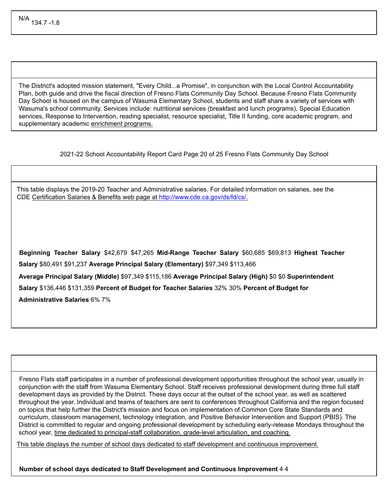The District's adopted mission statement, "Every Child...a Promise", in conjunction with the Local Control Accountability Plan, both guide and drive the fiscal direction of Fresno Flats Community Day School. Because Fresno Flats Community Day School is housed on the campus of Wasuma Elementary School, students and staff share a variety of services with Wasuma's school community. Services include: nutritional services (breakfast and lunch programs), Special Education services, Response to Intervention, reading specialist, resource specialist, Title II funding, core academic program, and supplementary academic enrichment programs.

2021-22 School Accountability Report Card Page 20 of 25 Fresno Flats Community Day School

This table displays the 2019-20 Teacher and Administrative salaries. For detailed information on salaries, see the CDE Certification Salaries & Benefits web page at http://www.cde.ca.gov/ds/fd/cs/.

**Beginning Teacher Salary** \$42,679 \$47,265 **Mid-Range Teacher Salary** \$60,685 \$69,813 **Highest Teacher Salary** \$80,491 \$91,237 **Average Principal Salary (Elementary)** \$97,349 \$113,466 **Average Principal Salary (Middle)** \$97,349 \$115,186 **Average Principal Salary (High)** \$0 \$0 **Superintendent Salary** \$136,446 \$131,359 **Percent of Budget for Teacher Salaries** 32% 30% **Percent of Budget for Administrative Salaries** 6% 7%

Fresno Flats staff participates in a number of professional development opportunities throughout the school year, usually in conjunction with the staff from Wasuma Elementary School. Staff receives professional development during three full staff development days as provided by the District. These days occur at the outset of the school year, as well as scattered throughout the year. Individual and teams of teachers are sent to conferences throughout California and the region focused on topics that help further the District's mission and focus on implementation of Common Core State Standards and curriculum, classroom management, technology integration, and Positive Behavior Intervention and Support (PBIS). The District is committed to regular and ongoing professional development by scheduling early-release Mondays throughout the school year, time dedicated to principal-staff collaboration, grade-level articulation, and coaching.

This table displays the number of school days dedicated to staff development and continuous improvement. **Subject**

**Number of school days dedicated to Staff Development and Continuous Improvement** 4 4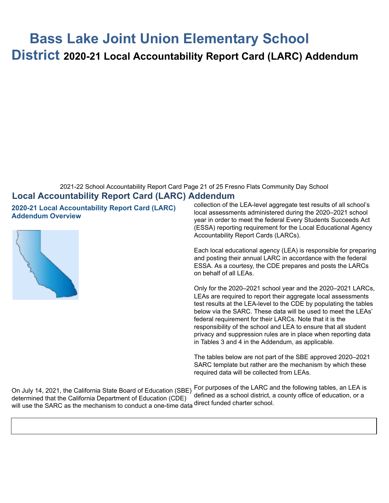# **Bass Lake Joint Union Elementary School**

**District 2020-21 Local Accountability Report Card (LARC) Addendum**

#### 2021-22 School Accountability Report Card Page 21 of 25 Fresno Flats Community Day School

## **Local Accountability Report Card (LARC) Addendum**

**2020-21 Local Accountability Report Card (LARC) Addendum Overview**



collection of the LEA-level aggregate test results of all school's local assessments administered during the 2020–2021 school year in order to meet the federal Every Students Succeeds Act (ESSA) reporting requirement for the Local Educational Agency Accountability Report Cards (LARCs).

Each local educational agency (LEA) is responsible for preparing and posting their annual LARC in accordance with the federal ESSA. As a courtesy, the CDE prepares and posts the LARCs on behalf of all LEAs.

Only for the 2020–2021 school year and the 2020–2021 LARCs, LEAs are required to report their aggregate local assessments test results at the LEA-level to the CDE by populating the tables below via the SARC. These data will be used to meet the LEAs' federal requirement for their LARCs. Note that it is the responsibility of the school and LEA to ensure that all student privacy and suppression rules are in place when reporting data in Tables 3 and 4 in the Addendum, as applicable.

The tables below are not part of the SBE approved 2020–2021 SARC template but rather are the mechanism by which these required data will be collected from LEAs.

On July 14, 2021, the California State Board of Education (SBE) determined that the California Department of Education (CDE) will use the SARC as the mechanism to conduct a one-time data direct funded charter school.

For purposes of the LARC and the following tables, an LEA is defined as a school district, a county office of education, or a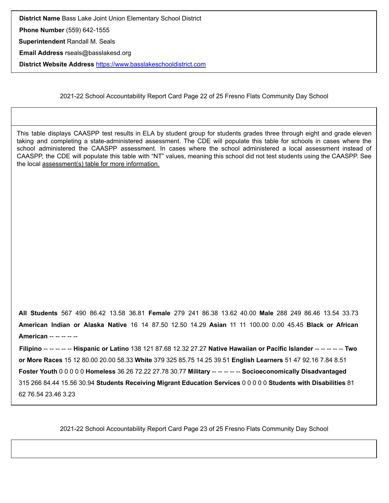**District Name** Bass Lake Joint Union Elementary School District

**Phone Number** (559) 642-1555

**Superintendent** Randall M. Seals

**Email Address** rseals@basslakesd.org

**District Website Address** https://www.basslakeschooldistrict.com

2021-22 School Accountability Report Card Page 22 of 25 Fresno Flats Community Day School

This table displays CAASPP test results in ELA by student group for students grades three through eight and grade eleven taking and completing a state-administered assessment. The CDE will populate this table for schools in cases where the school administered the CAASPP assessment. In cases where the school administered a local assessment instead of CAASPP, the CDE will populate this table with "NT" values, meaning this school did not test students using the CAASPP. See the local assessment(s) table for more information.

**All Students** 567 490 86.42 13.58 36.81 **Female** 279 241 86.38 13.62 40.00 **Male** 288 249 86.46 13.54 33.73 **American Indian or Alaska Native** 16 14 87.50 12.50 14.29 **Asian** 11 11 100.00 0.00 45.45 **Black or African American** -- -- -- -- --

**Filipino** -- -- -- -- -- **Hispanic or Latino** 138 121 87.68 12.32 27.27 **Native Hawaiian or Pacific Islander** -- -- -- -- -- **Two or More Races** 15 12 80.00 20.00 58.33 **White** 379 325 85.75 14.25 39.51 **English Learners** 51 47 92.16 7.84 8.51 **Foster Youth** 0 0 0 0 0 **Homeless** 36 26 72.22 27.78 30.77 **Military** -- -- -- -- -- **Socioeconomically Disadvantaged** 315 266 84.44 15.56 30.94 **Students Receiving Migrant Education Services** 0 0 0 0 0 **Students with Disabilities** 81 62 76.54 23.46 3.23

2021-22 School Accountability Report Card Page 23 of 25 Fresno Flats Community Day School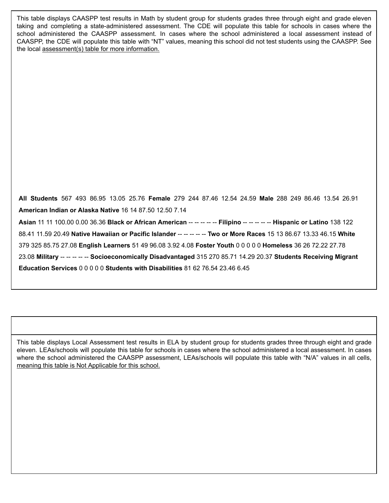This table displays CAASPP test results in Math by student group for students grades three through eight and grade eleven taking and completing a state-administered assessment. The CDE will populate this table for schools in cases where the school administered the CAASPP assessment. In cases where the school administered a local assessment instead of CAASPP, the CDE will populate this table with "NT" values, meaning this school did not test students using the CAASPP. See the local assessment(s) table for more information.

**All Students** 567 493 86.95 13.05 25.76 **Female** 279 244 87.46 12.54 24.59 **Male** 288 249 86.46 13.54 26.91 **American Indian or Alaska Native** 16 14 87.50 12.50 7.14 **Asian** 11 11 100.00 0.00 36.36 **Black or African American** -- -- -- -- -- **Filipino** -- -- -- -- -- **Hispanic or Latino** 138 122 88.41 11.59 20.49 **Native Hawaiian or Pacific Islander** -- -- -- -- -- **Two or More Races** 15 13 86.67 13.33 46.15 **White** 379 325 85.75 27.08 **English Learners** 51 49 96.08 3.92 4.08 **Foster Youth** 0 0 0 0 0 **Homeless** 36 26 72.22 27.78 23.08 **Military** -- -- -- -- -- **Socioeconomically Disadvantaged** 315 270 85.71 14.29 20.37 **Students Receiving Migrant Education Services** 0 0 0 0 0 **Students with Disabilities** 81 62 76.54 23.46 6.45

This table displays Local Assessment test results in ELA by student group for students grades three through eight and grade eleven. LEAs/schools will populate this table for schools in cases where the school administered a local assessment. In cases where the school administered the CAASPP assessment, LEAs/schools will populate this table with "N/A" values in all cells, meaning this table is Not Applicable for this school.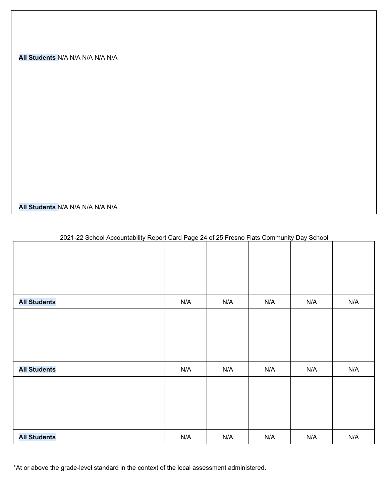#### **All Students** N/A N/A N/A N/A N/A

**All Students** N/A N/A N/A N/A N/A

|                     | _ .                     |     |     | -- 1<br>$     -$ |     |
|---------------------|-------------------------|-----|-----|------------------|-----|
|                     |                         |     |     |                  |     |
|                     |                         |     |     |                  |     |
|                     |                         |     |     |                  |     |
|                     |                         |     |     |                  |     |
|                     |                         |     |     |                  |     |
| <b>All Students</b> | $\mathsf{N}/\mathsf{A}$ | N/A | N/A | N/A              | N/A |
|                     |                         |     |     |                  |     |
|                     |                         |     |     |                  |     |
|                     |                         |     |     |                  |     |
|                     |                         |     |     |                  |     |
|                     |                         |     |     |                  |     |
|                     |                         |     |     |                  |     |
| <b>All Students</b> | N/A                     | N/A | N/A | N/A              | N/A |
|                     |                         |     |     |                  |     |
|                     |                         |     |     |                  |     |
|                     |                         |     |     |                  |     |
|                     |                         |     |     |                  |     |
|                     |                         |     |     |                  |     |
|                     |                         |     |     |                  |     |
| <b>All Students</b> | N/A                     | N/A | N/A | N/A              | N/A |

#### 2021-22 School Accountability Report Card Page 24 of 25 Fresno Flats Community Day School

\*At or above the grade-level standard in the context of the local assessment administered.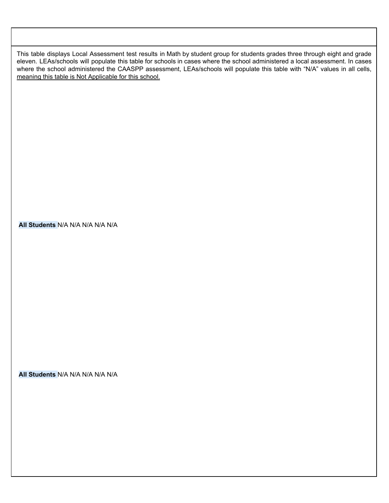This table displays Local Assessment test results in Math by student group for students grades three through eight and grade eleven. LEAs/schools will populate this table for schools in cases where the school administered a local assessment. In cases where the school administered the CAASPP assessment, LEAs/schools will populate this table with "N/A" values in all cells, meaning this table is Not Applicable for this school.

#### **All Students** N/A N/A N/A N/A N/A

**All Students** N/A N/A N/A N/A N/A